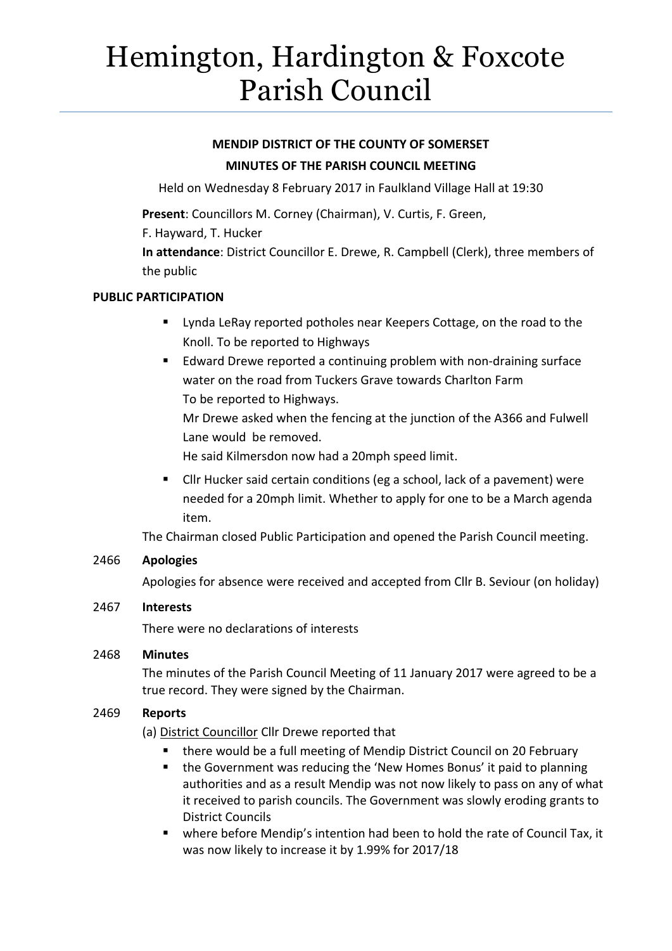# Hemington, Hardington & Foxcote Parish Council

# **MENDIP DISTRICT OF THE COUNTY OF SOMERSET MINUTES OF THE PARISH COUNCIL MEETING**

Held on Wednesday 8 February 2017 in Faulkland Village Hall at 19:30

**Present**: Councillors M. Corney (Chairman), V. Curtis, F. Green,

F. Hayward, T. Hucker

**In attendance**: District Councillor E. Drewe, R. Campbell (Clerk), three members of the public

### **PUBLIC PARTICIPATION**

- **EXTER** Lynda LeRay reported potholes near Keepers Cottage, on the road to the Knoll. To be reported to Highways
- Edward Drewe reported a continuing problem with non-draining surface water on the road from Tuckers Grave towards Charlton Farm To be reported to Highways.

Mr Drewe asked when the fencing at the junction of the A366 and Fulwell Lane would be removed.

He said Kilmersdon now had a 20mph speed limit.

 Cllr Hucker said certain conditions (eg a school, lack of a pavement) were needed for a 20mph limit. Whether to apply for one to be a March agenda item.

The Chairman closed Public Participation and opened the Parish Council meeting.

## 2466 **Apologies**

Apologies for absence were received and accepted from Cllr B. Seviour (on holiday)

### 2467 **Interests**

There were no declarations of interests

### 2468 **Minutes**

The minutes of the Parish Council Meeting of 11 January 2017 were agreed to be a true record. They were signed by the Chairman.

### 2469 **Reports**

(a) District Councillor Cllr Drewe reported that

- there would be a full meeting of Mendip District Council on 20 February
- the Government was reducing the 'New Homes Bonus' it paid to planning authorities and as a result Mendip was not now likely to pass on any of what it received to parish councils. The Government was slowly eroding grants to District Councils
- where before Mendip's intention had been to hold the rate of Council Tax, it was now likely to increase it by 1.99% for 2017/18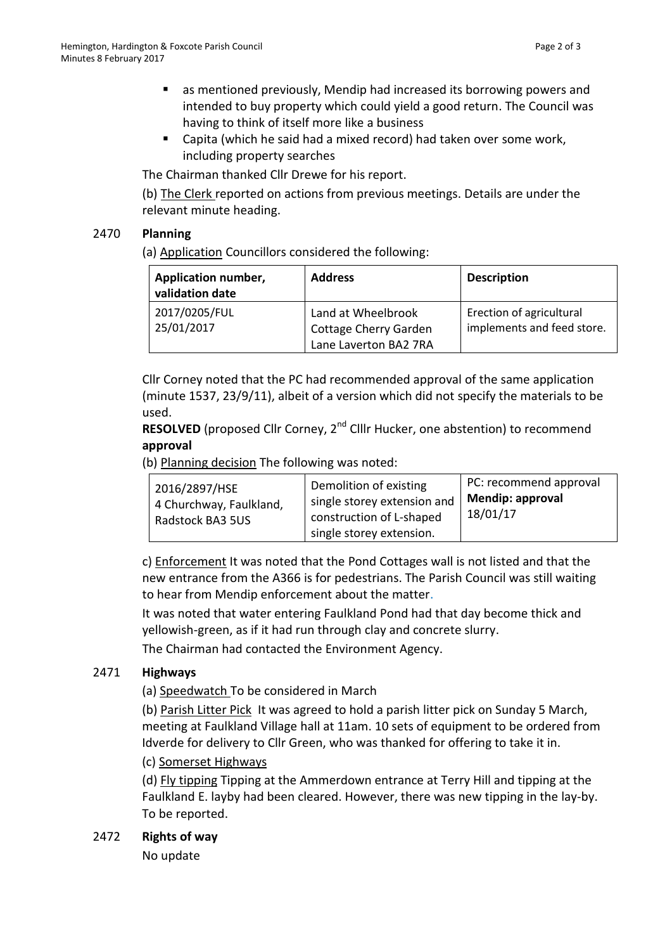- as mentioned previously, Mendip had increased its borrowing powers and intended to buy property which could yield a good return. The Council was having to think of itself more like a business
- Capita (which he said had a mixed record) had taken over some work, including property searches

The Chairman thanked Cllr Drewe for his report.

(b) The Clerk reported on actions from previous meetings. Details are under the relevant minute heading.

### 2470 **Planning**

(a) Application Councillors considered the following:

| <b>Application number,</b><br>validation date | <b>Address</b>                                                              | <b>Description</b>                                     |
|-----------------------------------------------|-----------------------------------------------------------------------------|--------------------------------------------------------|
| 2017/0205/FUL<br>25/01/2017                   | Land at Wheelbrook<br><b>Cottage Cherry Garden</b><br>Lane Laverton BA2 7RA | Erection of agricultural<br>implements and feed store. |

Cllr Corney noted that the PC had recommended approval of the same application (minute 1537, 23/9/11), albeit of a version which did not specify the materials to be used.

**RESOLVED** (proposed Cllr Corney, 2<sup>nd</sup> Clllr Hucker, one abstention) to recommend **approval**

(b) Planning decision The following was noted:

c) Enforcement It was noted that the Pond Cottages wall is not listed and that the new entrance from the A366 is for pedestrians. The Parish Council was still waiting to hear from Mendip enforcement about the matter.

It was noted that water entering Faulkland Pond had that day become thick and yellowish-green, as if it had run through clay and concrete slurry.

The Chairman had contacted the Environment Agency.

### 2471 **Highways**

(a) Speedwatch To be considered in March

(b) Parish Litter Pick It was agreed to hold a parish litter pick on Sunday 5 March, meeting at Faulkland Village hall at 11am. 10 sets of equipment to be ordered from Idverde for delivery to Cllr Green, who was thanked for offering to take it in.

(c) Somerset Highways

(d) Fly tipping Tipping at the Ammerdown entrance at Terry Hill and tipping at the Faulkland E. layby had been cleared. However, there was new tipping in the lay-by. To be reported.

### 2472 **Rights of way**

No update